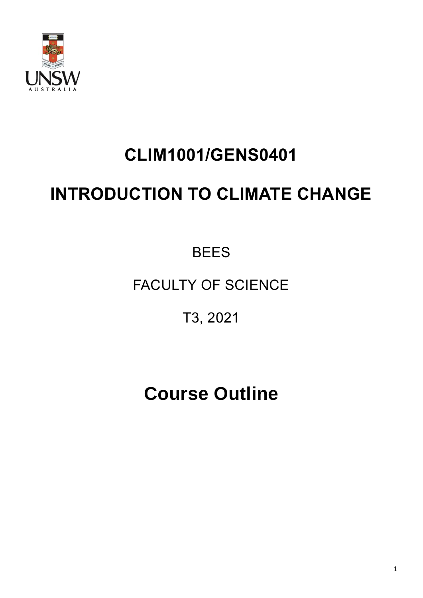

# **CLIM1001/GENS0401**

# **INTRODUCTION TO CLIMATE CHANGE**

**BEES** 

# FACULTY OF SCIENCE

T3, 2021

# **Course Outline**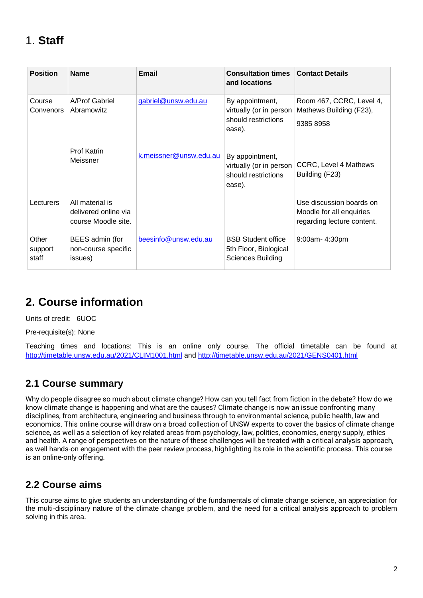# 1. **Staff**

| <b>Position</b>           | <b>Name</b>                                                    | Email                  | <b>Consultation times</b><br>and locations                                  | <b>Contact Details</b>                                                             |
|---------------------------|----------------------------------------------------------------|------------------------|-----------------------------------------------------------------------------|------------------------------------------------------------------------------------|
| Course<br>Convenors       | A/Prof Gabriel<br>Abramowitz                                   | gabriel@unsw.edu.au    | By appointment,<br>virtually (or in person<br>should restrictions<br>ease). | Room 467, CCRC, Level 4,<br>Mathews Building (F23),<br>9385 8958                   |
|                           | <b>Prof Katrin</b><br>Meissner                                 | k.meissner@unsw.edu.au | By appointment,<br>virtually (or in person<br>should restrictions<br>ease). | <b>CCRC, Level 4 Mathews</b><br>Building (F23)                                     |
| Lecturers                 | All material is<br>delivered online via<br>course Moodle site. |                        |                                                                             | Use discussion boards on<br>Moodle for all enquiries<br>regarding lecture content. |
| Other<br>support<br>staff | BEES admin (for<br>non-course specific<br>issues)              | beesinfo@unsw.edu.au   | <b>BSB Student office</b><br>5th Floor, Biological<br>Sciences Building     | 9:00am-4:30pm                                                                      |

# **2. Course information**

Units of credit: 6UOC

Pre-requisite(s): None

Teaching times and locations: This is an online only course. The official timetable can be found at <http://timetable.unsw.edu.au/2021/CLIM1001.html> and<http://timetable.unsw.edu.au/2021/GENS0401.html>

#### **2.1 Course summary**

Why do people disagree so much about climate change? How can you tell fact from fiction in the debate? How do we know climate change is happening and what are the causes? Climate change is now an issue confronting many disciplines, from architecture, engineering and business through to environmental science, public health, law and economics. This online course will draw on a broad collection of UNSW experts to cover the basics of climate change science, as well as a selection of key related areas from psychology, law, politics, economics, energy supply, ethics and health. A range of perspectives on the nature of these challenges will be treated with a critical analysis approach, as well hands-on engagement with the peer review process, highlighting its role in the scientific process. This course is an online-only offering.

#### **2.2 Course aims**

This course aims to give students an understanding of the fundamentals of climate change science, an appreciation for the multi-disciplinary nature of the climate change problem, and the need for a critical analysis approach to problem solving in this area.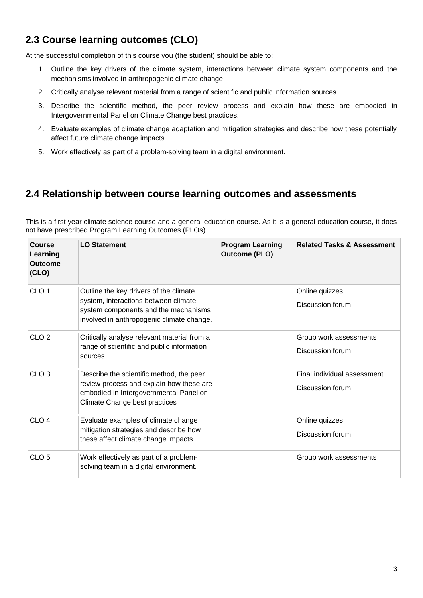#### **2.3 Course learning outcomes (CLO)**

At the successful completion of this course you (the student) should be able to:

- 1. Outline the key drivers of the climate system, interactions between climate system components and the mechanisms involved in anthropogenic climate change.
- 2. Critically analyse relevant material from a range of scientific and public information sources.
- 3. Describe the scientific method, the peer review process and explain how these are embodied in Intergovernmental Panel on Climate Change best practices.
- 4. Evaluate examples of climate change adaptation and mitigation strategies and describe how these potentially affect future climate change impacts.
- 5. Work effectively as part of a problem-solving team in a digital environment.

#### **2.4 Relationship between course learning outcomes and assessments**

This is a first year climate science course and a general education course. As it is a general education course, it does not have prescribed Program Learning Outcomes (PLOs).

| <b>Course</b><br>Learning<br><b>Outcome</b><br>(CLO) | <b>LO Statement</b>                                                                                                                                                 | <b>Program Learning</b><br><b>Outcome (PLO)</b> | <b>Related Tasks &amp; Assessment</b>           |
|------------------------------------------------------|---------------------------------------------------------------------------------------------------------------------------------------------------------------------|-------------------------------------------------|-------------------------------------------------|
| CLO <sub>1</sub>                                     | Outline the key drivers of the climate<br>system, interactions between climate<br>system components and the mechanisms<br>involved in anthropogenic climate change. |                                                 | Online quizzes<br>Discussion forum              |
| CLO <sub>2</sub>                                     | Critically analyse relevant material from a<br>range of scientific and public information<br>sources.                                                               |                                                 | Group work assessments<br>Discussion forum      |
| CLO <sub>3</sub>                                     | Describe the scientific method, the peer<br>review process and explain how these are<br>embodied in Intergovernmental Panel on<br>Climate Change best practices     |                                                 | Final individual assessment<br>Discussion forum |
| CLO <sub>4</sub>                                     | Evaluate examples of climate change<br>mitigation strategies and describe how<br>these affect climate change impacts.                                               |                                                 | Online quizzes<br>Discussion forum              |
| CLO <sub>5</sub>                                     | Work effectively as part of a problem-<br>solving team in a digital environment.                                                                                    |                                                 | Group work assessments                          |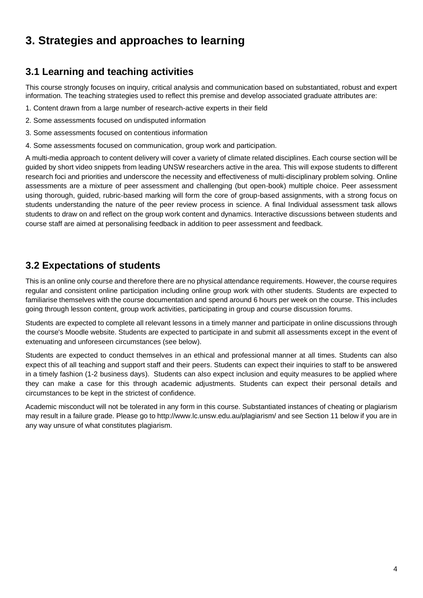# **3. Strategies and approaches to learning**

#### **3.1 Learning and teaching activities**

This course strongly focuses on inquiry, critical analysis and communication based on substantiated, robust and expert information. The teaching strategies used to reflect this premise and develop associated graduate attributes are:

- 1. Content drawn from a large number of research-active experts in their field
- 2. Some assessments focused on undisputed information
- 3. Some assessments focused on contentious information
- 4. Some assessments focused on communication, group work and participation.

A multi-media approach to content delivery will cover a variety of climate related disciplines. Each course section will be guided by short video snippets from leading UNSW researchers active in the area. This will expose students to different research foci and priorities and underscore the necessity and effectiveness of multi-disciplinary problem solving. Online assessments are a mixture of peer assessment and challenging (but open-book) multiple choice. Peer assessment using thorough, guided, rubric-based marking will form the core of group-based assignments, with a strong focus on students understanding the nature of the peer review process in science. A final Individual assessment task allows students to draw on and reflect on the group work content and dynamics. Interactive discussions between students and course staff are aimed at personalising feedback in addition to peer assessment and feedback.

#### **3.2 Expectations of students**

This is an online only course and therefore there are no physical attendance requirements. However, the course requires regular and consistent online participation including online group work with other students. Students are expected to familiarise themselves with the course documentation and spend around 6 hours per week on the course. This includes going through lesson content, group work activities, participating in group and course discussion forums.

Students are expected to complete all relevant lessons in a timely manner and participate in online discussions through the course's Moodle website. Students are expected to participate in and submit all assessments except in the event of extenuating and unforeseen circumstances (see below).

Students are expected to conduct themselves in an ethical and professional manner at all times. Students can also expect this of all teaching and support staff and their peers. Students can expect their inquiries to staff to be answered in a timely fashion (1-2 business days). Students can also expect inclusion and equity measures to be applied where they can make a case for this through academic adjustments. Students can expect their personal details and circumstances to be kept in the strictest of confidence.

Academic misconduct will not be tolerated in any form in this course. Substantiated instances of cheating or plagiarism may result in a failure grade. Please go to http://www.lc.unsw.edu.au/plagiarism/ and see Section 11 below if you are in any way unsure of what constitutes plagiarism.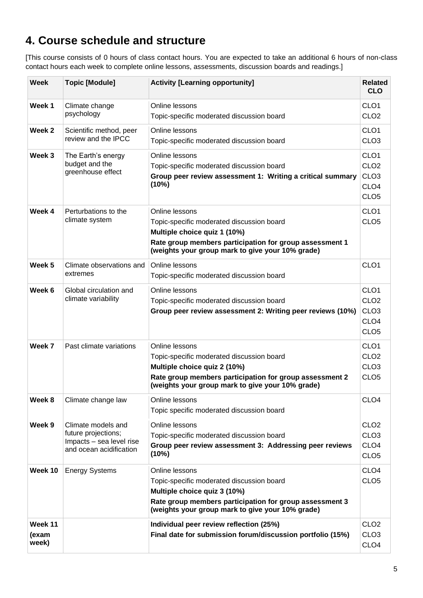# **4. Course schedule and structure**

[This course consists of 0 hours of class contact hours. You are expected to take an additional 6 hours of non-class contact hours each week to complete online lessons, assessments, discussion boards and readings.]

| Week                      | <b>Topic [Module]</b>                                                                            | <b>Activity [Learning opportunity]</b>                                                                                                                                                                     | <b>Related</b><br><b>CLO</b>                                                                     |
|---------------------------|--------------------------------------------------------------------------------------------------|------------------------------------------------------------------------------------------------------------------------------------------------------------------------------------------------------------|--------------------------------------------------------------------------------------------------|
| Week 1                    | Climate change<br>psychology                                                                     | Online lessons<br>Topic-specific moderated discussion board                                                                                                                                                | CLO <sub>1</sub><br>CLO <sub>2</sub>                                                             |
| Week 2                    | Scientific method, peer<br>review and the IPCC                                                   | Online lessons<br>Topic-specific moderated discussion board                                                                                                                                                | CLO <sub>1</sub><br>CLO <sub>3</sub>                                                             |
| Week 3                    | The Earth's energy<br>budget and the<br>greenhouse effect                                        | Online lessons<br>Topic-specific moderated discussion board<br>Group peer review assessment 1: Writing a critical summary<br>(10%)                                                                         | CLO <sub>1</sub><br>CLO <sub>2</sub><br>CLO <sub>3</sub><br>CLO <sub>4</sub><br>CLO <sub>5</sub> |
| Week 4                    | Perturbations to the<br>climate system                                                           | Online lessons<br>Topic-specific moderated discussion board<br>Multiple choice quiz 1 (10%)<br>Rate group members participation for group assessment 1<br>(weights your group mark to give your 10% grade) | CLO <sub>1</sub><br>CLO <sub>5</sub>                                                             |
| Week <sub>5</sub>         | Climate observations and<br>extremes                                                             | Online lessons<br>Topic-specific moderated discussion board                                                                                                                                                | CLO <sub>1</sub>                                                                                 |
| Week 6                    | Global circulation and<br>climate variability                                                    | Online lessons<br>Topic-specific moderated discussion board<br>Group peer review assessment 2: Writing peer reviews (10%)                                                                                  | CLO <sub>1</sub><br>CLO <sub>2</sub><br>CLO <sub>3</sub><br>CLO <sub>4</sub><br>CLO <sub>5</sub> |
| Week 7                    | Past climate variations                                                                          | Online lessons<br>Topic-specific moderated discussion board<br>Multiple choice quiz 2 (10%)<br>Rate group members participation for group assessment 2<br>(weights your group mark to give your 10% grade) | CLO <sub>1</sub><br>CLO <sub>2</sub><br>CLO <sub>3</sub><br>CLO <sub>5</sub>                     |
| Week 8                    | Climate change law                                                                               | Online lessons<br>Topic specific moderated discussion board                                                                                                                                                | CLO <sub>4</sub>                                                                                 |
| Week 9                    | Climate models and<br>future projections;<br>Impacts - sea level rise<br>and ocean acidification | Online lessons<br>Topic-specific moderated discussion board<br>Group peer review assessment 3: Addressing peer reviews<br>(10%)                                                                            | CLO <sub>2</sub><br>CLO <sub>3</sub><br>CLO <sub>4</sub><br>CLO <sub>5</sub>                     |
| Week 10                   | <b>Energy Systems</b>                                                                            | Online lessons<br>Topic-specific moderated discussion board<br>Multiple choice quiz 3 (10%)<br>Rate group members participation for group assessment 3<br>(weights your group mark to give your 10% grade) | CLO <sub>4</sub><br>CLO <sub>5</sub>                                                             |
| Week 11<br>(exam<br>week) |                                                                                                  | Individual peer review reflection (25%)<br>Final date for submission forum/discussion portfolio (15%)                                                                                                      | CLO <sub>2</sub><br>CLO <sub>3</sub><br>CLO <sub>4</sub>                                         |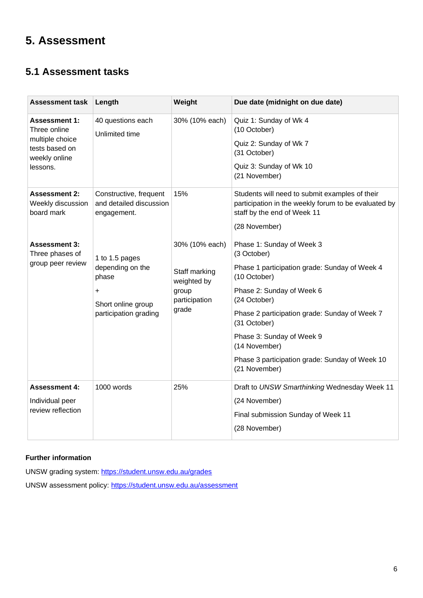# **5. Assessment**

#### **5.1 Assessment tasks**

| <b>Assessment task</b>                                  | Length                                                           | Weight                                                                            | Due date (midnight on due date)                                                                                                       |
|---------------------------------------------------------|------------------------------------------------------------------|-----------------------------------------------------------------------------------|---------------------------------------------------------------------------------------------------------------------------------------|
| <b>Assessment 1:</b><br>Three online                    | 40 questions each<br>Unlimited time                              | 30% (10% each)                                                                    | Quiz 1: Sunday of Wk 4<br>(10 October)                                                                                                |
| multiple choice<br>tests based on<br>weekly online      |                                                                  |                                                                                   | Quiz 2: Sunday of Wk 7<br>(31 October)                                                                                                |
| lessons.                                                |                                                                  |                                                                                   | Quiz 3: Sunday of Wk 10<br>(21 November)                                                                                              |
| <b>Assessment 2:</b><br>Weekly discussion<br>board mark | Constructive, frequent<br>and detailed discussion<br>engagement. | 15%                                                                               | Students will need to submit examples of their<br>participation in the weekly forum to be evaluated by<br>staff by the end of Week 11 |
|                                                         |                                                                  |                                                                                   | (28 November)                                                                                                                         |
| <b>Assessment 3:</b><br>Three phases of                 | 1 to 1.5 pages                                                   | 30% (10% each)<br>Staff marking<br>weighted by<br>group<br>participation<br>grade | Phase 1: Sunday of Week 3<br>(3 October)                                                                                              |
| group peer review                                       | depending on the<br>phase                                        |                                                                                   | Phase 1 participation grade: Sunday of Week 4<br>(10 October)                                                                         |
|                                                         | +<br>Short online group<br>participation grading                 |                                                                                   | Phase 2: Sunday of Week 6<br>(24 October)                                                                                             |
|                                                         |                                                                  |                                                                                   | Phase 2 participation grade: Sunday of Week 7<br>(31 October)                                                                         |
|                                                         |                                                                  |                                                                                   | Phase 3: Sunday of Week 9<br>(14 November)                                                                                            |
|                                                         |                                                                  |                                                                                   | Phase 3 participation grade: Sunday of Week 10<br>(21 November)                                                                       |
| <b>Assessment 4:</b>                                    | 1000 words                                                       | 25%                                                                               | Draft to UNSW Smarthinking Wednesday Week 11                                                                                          |
| Individual peer                                         |                                                                  |                                                                                   | (24 November)                                                                                                                         |
| review reflection                                       |                                                                  |                                                                                   | Final submission Sunday of Week 11                                                                                                    |
|                                                         |                                                                  |                                                                                   | (28 November)                                                                                                                         |

#### **Further information**

UNSW grading system:<https://student.unsw.edu.au/grades>

UNSW assessment policy:<https://student.unsw.edu.au/assessment>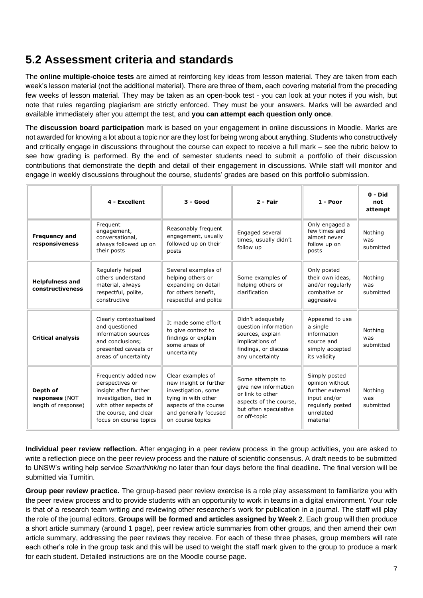## **5.2 Assessment criteria and standards**

The **online multiple-choice tests** are aimed at reinforcing key ideas from lesson material. They are taken from each week's lesson material (not the additional material). There are three of them, each covering material from the preceding few weeks of lesson material. They may be taken as an open-book test - you can look at your notes if you wish, but note that rules regarding plagiarism are strictly enforced. They must be your answers. Marks will be awarded and available immediately after you attempt the test, and **you can attempt each question only once**.

The **discussion board participation** mark is based on your engagement in online discussions in Moodle. Marks are not awarded for knowing a lot about a topic nor are they lost for being wrong about anything. Students who constructively and critically engage in discussions throughout the course can expect to receive a full mark – see the rubric below to see how grading is performed. By the end of semester students need to submit a portfolio of their discussion contributions that demonstrate the depth and detail of their engagement in discussions. While staff will monitor and engage in weekly discussions throughout the course, students' grades are based on this portfolio submission.

|                                                   | 4 - Excellent                                                                                                                                                          | $3 - Good$                                                                                                                                                      | 2 - Fair                                                                                                                        | $1 - Poor$                                                                                                        | $0 - Did$<br>not<br>attempt |
|---------------------------------------------------|------------------------------------------------------------------------------------------------------------------------------------------------------------------------|-----------------------------------------------------------------------------------------------------------------------------------------------------------------|---------------------------------------------------------------------------------------------------------------------------------|-------------------------------------------------------------------------------------------------------------------|-----------------------------|
| <b>Frequency and</b><br>responsiveness            | Frequent<br>engagement,<br>conversational,<br>always followed up on<br>their posts                                                                                     | Reasonably frequent<br>engagement, usually<br>followed up on their<br>posts                                                                                     | Engaged several<br>times, usually didn't<br>follow up                                                                           | Only engaged a<br>few times and<br>almost never<br>follow up on<br>posts                                          | Nothing<br>was<br>submitted |
| <b>Helpfulness and</b><br>constructiveness        | Regularly helped<br>others understand<br>material, always<br>respectful, polite,<br>constructive                                                                       | Several examples of<br>helping others or<br>expanding on detail<br>for others benefit,<br>respectful and polite                                                 | Some examples of<br>helping others or<br>clarification                                                                          | Only posted<br>their own ideas.<br>and/or regularly<br>combative or<br>aggressive                                 | Nothing<br>was<br>submitted |
| <b>Critical analysis</b>                          | Clearly contextualised<br>and questioned<br>information sources<br>and conclusions;<br>presented caveats or<br>areas of uncertainty                                    | It made some effort<br>to give context to<br>findings or explain<br>some areas of<br>uncertainty                                                                | Didn't adequately<br>question information<br>sources, explain<br>implications of<br>findings, or discuss<br>any uncertainty     | Appeared to use<br>a single<br>information<br>source and<br>simply accepted<br>its validity                       | Nothing<br>was<br>submitted |
| Depth of<br>responses (NOT<br>length of response) | Frequently added new<br>perspectives or<br>insight after further<br>investigation, tied in<br>with other aspects of<br>the course, and clear<br>focus on course topics | Clear examples of<br>new insight or further<br>investigation, some<br>tying in with other<br>aspects of the course<br>and generally focused<br>on course topics | Some attempts to<br>give new information<br>or link to other<br>aspects of the course,<br>but often speculative<br>or off-topic | Simply posted<br>opinion without<br>further external<br>input and/or<br>regularly posted<br>unrelated<br>material | Nothing<br>was<br>submitted |

**Individual peer review reflection.** After engaging in a peer review process in the group activities, you are asked to write a reflection piece on the peer review process and the nature of scientific consensus. A draft needs to be submitted to UNSW's writing help service *Smarthinking* no later than four days before the final deadline. The final version will be submitted via Turnitin.

**Group peer review practice.** The group-based peer review exercise is a role play assessment to familiarize you with the peer review process and to provide students with an opportunity to work in teams in a digital environment. Your role is that of a research team writing and reviewing other researcher's work for publication in a journal. The staff will play the role of the journal editors. **Groups will be formed and articles assigned by Week 2**. Each group will then produce a short article summary (around 1 page), peer review article summaries from other groups, and then amend their own article summary, addressing the peer reviews they receive. For each of these three phases, group members will rate each other's role in the group task and this will be used to weight the staff mark given to the group to produce a mark for each student. Detailed instructions are on the Moodle course page.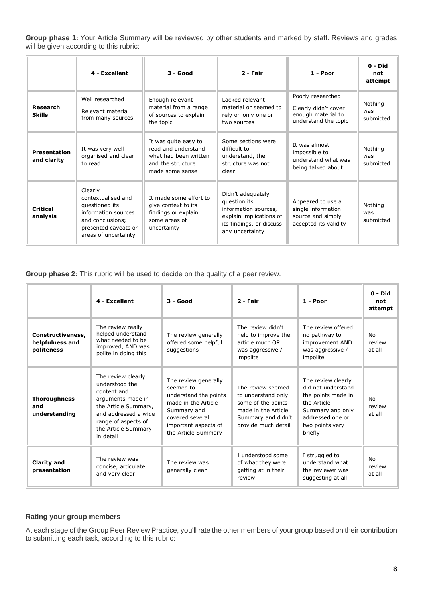**Group phase 1:** Your Article Summary will be reviewed by other students and marked by staff. Reviews and grades will be given according to this rubric:

|                                    | 4 - Excellent                                                                                                                              | 3 - Good                                                                                                     | 2 - Fair                                                                                                                            | 1 - Poor                                                                                | $0 - Did$<br>not<br>attempt |
|------------------------------------|--------------------------------------------------------------------------------------------------------------------------------------------|--------------------------------------------------------------------------------------------------------------|-------------------------------------------------------------------------------------------------------------------------------------|-----------------------------------------------------------------------------------------|-----------------------------|
| Research<br><b>Skills</b>          | Well researched<br>Relevant material<br>from many sources                                                                                  | Enough relevant<br>material from a range<br>of sources to explain<br>the topic                               | Lacked relevant<br>material or seemed to<br>rely on only one or<br>two sources                                                      | Poorly researched<br>Clearly didn't cover<br>enough material to<br>understand the topic | Nothing<br>was<br>submitted |
| <b>Presentation</b><br>and clarity | It was very well<br>organised and clear<br>to read                                                                                         | It was quite easy to<br>read and understand<br>what had been written<br>and the structure<br>made some sense | Some sections were<br>difficult to<br>understand, the<br>structure was not<br>clear                                                 | It was almost<br>impossible to<br>understand what was<br>being talked about             | Nothing<br>was<br>submitted |
| <b>Critical</b><br>analysis        | Clearly<br>contextualised and<br>questioned its<br>information sources<br>and conclusions;<br>presented caveats or<br>areas of uncertainty | It made some effort to<br>give context to its<br>findings or explain<br>some areas of<br>uncertainty         | Didn't adequately<br>question its<br>information sources,<br>explain implications of<br>its findings, or discuss<br>any uncertainty | Appeared to use a<br>single information<br>source and simply<br>accepted its validity   | Nothing<br>was<br>submitted |

**Group phase 2:** This rubric will be used to decide on the quality of a peer review.

|                                                    | 4 - Excellent                                                                                                                                                                       | $3 - Good$                                                                                                                                                         | 2 - Fair                                                                                                                          | 1 - Poor                                                                                                                                            | $0 - Did$<br>not<br>attempt |
|----------------------------------------------------|-------------------------------------------------------------------------------------------------------------------------------------------------------------------------------------|--------------------------------------------------------------------------------------------------------------------------------------------------------------------|-----------------------------------------------------------------------------------------------------------------------------------|-----------------------------------------------------------------------------------------------------------------------------------------------------|-----------------------------|
| Constructiveness,<br>helpfulness and<br>politeness | The review really<br>helped understand<br>what needed to be<br>improved, AND was<br>polite in doing this                                                                            | The review generally<br>offered some helpful<br>suggestions                                                                                                        | The review didn't<br>help to improve the<br>article much OR<br>was aggressive /<br>impolite                                       | The review offered<br>no pathway to<br>improvement AND<br>was aggressive /<br>impolite                                                              | No<br>review<br>at all      |
| <b>Thoroughness</b><br>and<br>understanding        | The review clearly<br>understood the<br>content and<br>arguments made in<br>the Article Summary,<br>and addressed a wide<br>range of aspects of<br>the Article Summary<br>in detail | The review generally<br>seemed to<br>understand the points<br>made in the Article<br>Summary and<br>covered several<br>important aspects of<br>the Article Summary | The review seemed<br>to understand only<br>some of the points<br>made in the Article<br>Summary and didn't<br>provide much detail | The review clearly<br>did not understand<br>the points made in<br>the Article<br>Summary and only<br>addressed one or<br>two points very<br>briefly | No<br>review<br>at all      |
| <b>Clarity and</b><br>presentation                 | The review was<br>concise, articulate<br>and very clear                                                                                                                             | The review was<br>generally clear                                                                                                                                  | I understood some<br>of what they were<br>getting at in their<br>review                                                           | I struggled to<br>understand what<br>the reviewer was<br>suggesting at all                                                                          | No<br>review<br>at all      |

#### **Rating your group members**

At each stage of the Group Peer Review Practice, you'll rate the other members of your group based on their contribution to submitting each task, according to this rubric: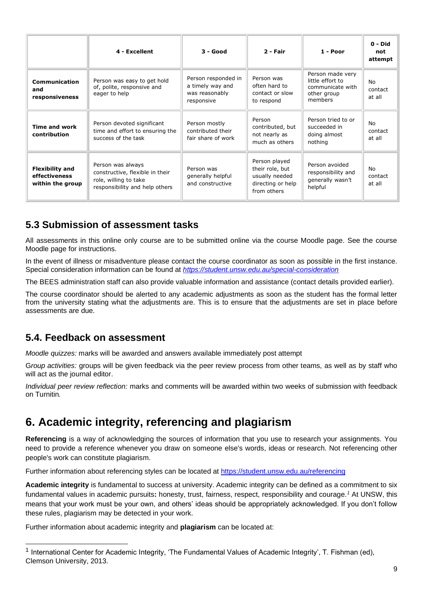|                                                             | 4 - Excellent                                                                                                   | 3 - Good                                                                | 2 - Fair                                                                               | 1 - Poor                                                                           | $0 - Did$<br>not<br>attempt    |
|-------------------------------------------------------------|-----------------------------------------------------------------------------------------------------------------|-------------------------------------------------------------------------|----------------------------------------------------------------------------------------|------------------------------------------------------------------------------------|--------------------------------|
| <b>Communication</b><br>and<br>responsiveness               | Person was easy to get hold<br>of, polite, responsive and<br>eager to help                                      | Person responded in<br>a timely way and<br>was reasonably<br>responsive | Person was<br>often hard to<br>contact or slow<br>to respond                           | Person made very<br>little effort to<br>communicate with<br>other group<br>members | No<br>contact<br>at all        |
| <b>Time and work</b><br>contribution                        | Person devoted significant<br>time and effort to ensuring the<br>success of the task                            | Person mostly<br>contributed their<br>fair share of work                | Person<br>contributed, but<br>not nearly as<br>much as others                          | Person tried to or<br>succeeded in<br>doing almost<br>nothing                      | No<br>contact<br>at all        |
| <b>Flexibility and</b><br>effectiveness<br>within the group | Person was always<br>constructive, flexible in their<br>role, willing to take<br>responsibility and help others | Person was<br>generally helpful<br>and constructive                     | Person played<br>their role, but<br>usually needed<br>directing or help<br>from others | Person avoided<br>responsibility and<br>generally wasn't<br>helpful                | <b>No</b><br>contact<br>at all |

#### **5.3 Submission of assessment tasks**

All assessments in this online only course are to be submitted online via the course Moodle page. See the course Moodle page for instructions.

In the event of illness or misadventure please contact the course coordinator as soon as possible in the first instance. Special consideration information can be found at *<https://student.unsw.edu.au/special-consideration>*

The BEES administration staff can also provide valuable information and assistance (contact details provided earlier).

The course coordinator should be alerted to any academic adjustments as soon as the student has the formal letter from the university stating what the adjustments are. This is to ensure that the adjustments are set in place before assessments are due.

#### **5.4. Feedback on assessment**

*Moodle quizzes:* marks will be awarded and answers available immediately post attempt

G*roup activities:* groups will be given feedback via the peer review process from other teams, as well as by staff who will act as the journal editor.

*Individual peer review reflection:* marks and comments will be awarded within two weeks of submission with feedback on Turnitin*.*

### **6. Academic integrity, referencing and plagiarism**

**Referencing** is a way of acknowledging the sources of information that you use to research your assignments. You need to provide a reference whenever you draw on someone else's words, ideas or research. Not referencing other people's work can constitute plagiarism.

Further information about referencing styles can be located at<https://student.unsw.edu.au/referencing>

**Academic integrity** is fundamental to success at university. Academic integrity can be defined as a commitment to six fundamental values in academic pursuits**:** honesty, trust, fairness, respect, responsibility and courage.*<sup>1</sup>* At UNSW, this means that your work must be your own, and others' ideas should be appropriately acknowledged. If you don't follow these rules, plagiarism may be detected in your work.

Further information about academic integrity and **plagiarism** can be located at:

<sup>&</sup>lt;sup>1</sup> International Center for Academic Integrity, 'The Fundamental Values of Academic Integrity', T. Fishman (ed), Clemson University, 2013.